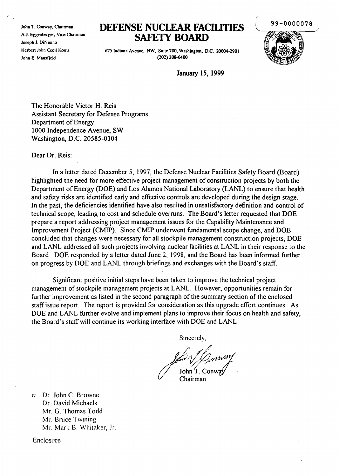John T. Conway, Chairman AJ. Eggenberger, Vice Chairman Joseph J. DiNunno Hcrben John Cecil Kouts John E. Mansfield

## **DEFENSE** NUCLEAR **FACIUTIES** SAFETY **BOARD**

99-0000078

625 Indiana Avenue, NW, Suite 700, Washington, D.C. 20004-2901 (202) 208-6400 .



January 15, 1999

The Honorable Victor H. Reis Assistant Secretary for Defense Programs Department of Energy 1000 Independence Avenue, SW Washington, D.C. 20585-0104

Dear Dr. Reis:

In a letter dated December 5, 1997, the Defense Nuclear Facilities Safety Board (Board) highlighted the need for more effective project management of construction projects by both the Department of Energy (DOE) and Los Alamos National Laboratory (LANL) to ensure that health and safety risks are identified early and effective controls are developed during the design stage. In the past, the deficiencies identified have also resulted in unsatisfactory definition and control of technical scope, leading to cost and schedule overruns. The Board's letter requested that DOE prepare a report addressing project management issues for the Capability Maintenance and Improvement Project (CMIP). Since CMIP underwent fundamental scope change, and DOE concluded that changes were necessary for all stockpile management construction projects, DOE and LANL addressed all such projects involving nuclear facilities at LANL in their response to the Board. DOE responded by a letter dated June 2, 1998, and the Board has been informed further on progress by DOE and LANL through briefings and exchanges with the Board's staff.

Significant positive initial steps have been taken to improve the technical project management ofstockpile management projects at LANL. However, opportunities remain for further improvement as listed in the second paragraph of the summary section of the enclosed staff issue report. The report is provided for consideration as this upgrade effort continues. As DOE and LANL further evolve and implement plans to improve their focus on health and safety, the Board's staffwill continue its working interface with DOE and LANL.

Sincerely,

John  $T$ . Conv

Chairman

c: Dr. John C. Browne Dr. David Michaels Mr. G. Thomas Todd Mr. Bruce Twining Mr. Mark B. Whitaker, Jr.

Enclosure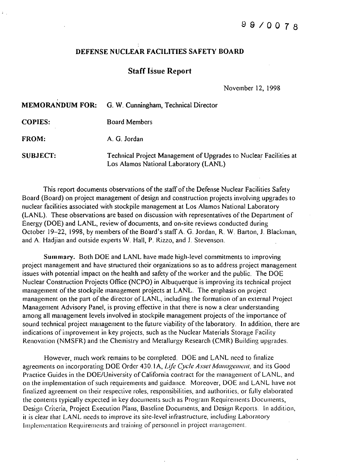## DEFENSE NUCLEAR FACILITIES SAFETY BOARD

## **Staff Issue Report**

November 12, 1998

|                 | <b>MEMORANDUM FOR:</b> G. W. Cunningham, Technical Director                                                |
|-----------------|------------------------------------------------------------------------------------------------------------|
| <b>COPIES:</b>  | <b>Board Members</b>                                                                                       |
| FROM:           | A. G. Jordan                                                                                               |
| <b>SUBJECT:</b> | Technical Project Management of Upgrades to Nuclear Facilities at<br>Los Alamos National Laboratory (LANL) |

This report documents observations of the staff of the Defense Nuclear Facilities Safety Board (Board) on project management of design and construction projects involving upgrades to nuclear facilities associated with stockpile management at Los Alamos National Laboratory (LANL). These observations are based on discussion with representatives of the Department of Energy (DOE) and LANL, review of documents, and on-site reviews conducted during October 19-22, 1998, by members of the Board's staff A. G. Jordan, R. W. Barton, J. Blackman, and A. Hadjian and outside experts W. Hall, P. Rizzo, and J. Stevenson.

Summary. Both DOE and LANL have made high-level commitments to improving project management and have structured their organizations so as to address project management issues with potential impact on the health and safety of the worker and the public. The DOE Nuclear Construction Projects Office (NCPO) in Albuquerque is improving its technical project management of the stockpile management projects at LANL. The emphasis on project management on the part of the director of LANL, including the formation of an external Project Management Advisory Panel, is proving effective in that there is now a clear understanding among all management levels involved in stockpile management projects of the importance of sound technical project management to the future viability of the laboratory. In addition, there are indications of improvement in key projects, such as the Nuclear Materials Storage Facility Renovation (NMSFR) and the Chemistry and Metallurgy Research (CMR) Building upgrades.

However, much work remains to be completed. DOE and LANL need to finalize agreements on incorporating DOE Order 430.1A, *Life Cycle Asset Management*, and its Good Practice Guides in the DOE/University of California contract for the management of LANL, and on the implementation of such requirements and guidance. Moreover, DOE and LANL have not finalized agreement on their respective roles, responsibilities, and authorities, or fully elaborated the contents typically expected in key documents such as Program Requirements Documents, Design Criteria, Project Execution Plans, Baseline Documents, and Design Reports. In addition, it is clear that LANL needs to improve its site-level infrastructure, including Laboratory Implementation Requirements and training of personnel in project managemenl.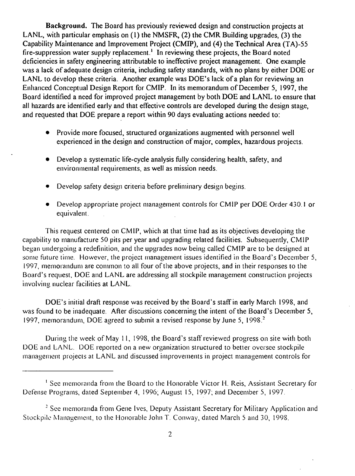Background. The Board has previously reviewed design and construction projects at LANL, with particular emphasis on (1) the NMSFR, (2) the CMR Building upgrades, (3) the Capability Maintenance and Improvement Project (CMIP), and (4) the Technical Area (TA)-55 fire-suppression water supply replacement.<sup>1</sup> In reviewing these projects, the Board noted deficiencies in safety engineering attributable to ineffective project management. One example was a lack of adequate design criteria, including safety standards, with no plans by either DOE or LANL to develop these criteria. Another example was DOE's lack of a plan for reviewing an Enhanced Conceptual Design Report for CMIP. In its memorandum of December 5, 1997, the Board identified a need for improved project management by both DOE and LANL to ensure that all hazards are identified early and that effective controls are developed during the design stage, and requested that DOE prepare a report within 90 days evaluating actions needed to:

- Provide more focused, structured organizations augmented with personnel well experienced in the design and construction of major, complex, hazardous projects.
- Develop a systematic life-cycle analysis fully considering health, safety, and environmental requirements, as well as mission needs.
- Develop safety design criteria before preliminary design begins.
- Develop appropriate project management controls for CMIP per DOE Order 430.1 or equivalent.

This request centered on CMIP, which at that time had as its objectives developing the capability to manufacture 50 pits per year and upgrading related facilities. Subsequently, CMIP began undergoing a redefinition, and the upgrades now being called CMIP are to be designed at some future time. However, the project management issues identified in the Board's December 5, 1997, memorandum are common to all four of the above projects, and in their responses to the Board's request, DOE and LANL are addressing all stockpile management construction projects involving nuclear facilities at LANL.

DOE's initial draft response was received by the Board's staff in early March 1998, and was found to be inadequate. After discussions concerning the intent of the Board's December 5, 1997, memorandum, DOE agreed to submit a revised response by June 5, 1998. <sup>2</sup>

During the week of May II, 1998, the Board's staff reviewed progress on site with both DOE and LANL. DOE reported on a new organization structured to better oversee stockpile management projects at LANL and discussed improvements in project management controls for

<sup>&</sup>lt;sup>1</sup> See memoranda from the Board to the Honorable Victor H. Reis, Assistant Secretary for Defense Programs, dated September 4, 1996; August 15, 1997; and December 5, 1997.

<sup>&</sup>lt;sup>2</sup> See memoranda from Gene Ives, Deputy Assistant Secretary for Military Application and Stockpile Management, to the Honorable John T. Conway, dated March 5 and 30, 1998.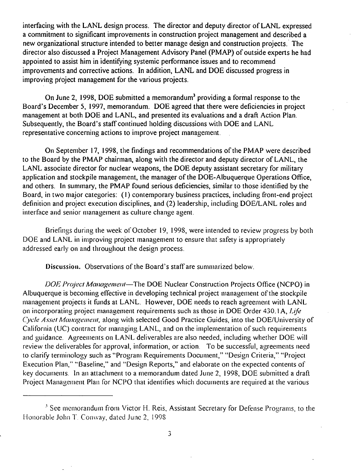interfacing with the LANL design process. The director and deputy director of LANL expressed a commitment to significant improvements in construction project management and described a new organizational structure intended to better manage design and construction projects.' The director also discussed a Project Management Advisory Panel (PMAP) of outside experts he had appointed to assist him in identifying systemic performance issues and to recommend improvements and corrective actions. In addition, LANL and DOE discussed progress in improving project management for the various projects.

On June 2, 1998, DOE submitted a memorandum<sup>3</sup> providing a formal response to the Board's December 5, 1997, memorandum. DOE agreed that there were deficiencies in project management at both DOE and LANL, and presented its evaluations and a draft Action Plan. Subsequently, the Board's staff continued holding discussions with DOE and LANL representative concerning actions to improve project management.

On September 17, 1998, the findings and recommendations ofthe PMAP were described to the Board by the PMAP chairman, along with the director and deputy director of LANL, the LANL associate director for nuclear weapons, the DOE deputy assistant secretary for military application and stockpile management, the manager of the DOE-Albuquerque Operations Office, and others. In summary, the PMAP found serious deficiencies, similar to those identified by the Board, in two major categories: (I) contemporary business practices, including front-end project definition and project execution disciplines, and (2) leadership, including DOE/LANL roles and interface and senior management as culture change agent.

Briefings during the week of October 19, 1998, were intended to review progress by both DOE and LANL in improving project management to ensure that safety is appropriately addressed early on and throughout the design process.

Discussion. Observations of the Board's staff are summarized below.

*DOE Project Management*—The DOE Nuclear Construction Projects Office (NCPO) in Albuquerque is becoming effective in developing technical project management ofthe stockpile management projects it funds at LANL. However, DOE needs to reach agreement with LANL on incorporating project management requirements such as those in DOE Order 430. IA, *Ufe Cycle Asset Management*, along with selected Good Practice Guides, into the DOE/University of California (UC) contract for managing LANL, and on the implementation of such requirements and guidance. Agreements on LANL deliverables are also needed, including whether DOE will review the deliverables for approval, information, or action. To be successful, agreements need to clarify terminology such as "Program Requirements Document," "Design Criteria," "Project Execution Plan," "Baseline," and "Design Reports," and elaborate on the expected contents of key documents. In an attachment to a memorandum dated June 2, 1998, DOE submitted a draft Project Management Plan for NCPO that identifies which documents are required at the various

<sup>&</sup>lt;sup>3</sup> See memorandum from Victor H. Reis, Assistant Secretary for Defense Programs, to the Honorable John T. Conway, dated June 2, 1998.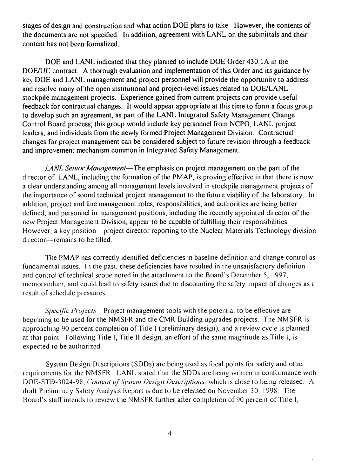stages of design and construction and what action DOE plans to take. However, the contents of the documents are not specified. In addition, agreement with LANL on the submittals and their content has not been formalized.

DOE and LANL indicated that they planned to include DOE Order 430.1A in the DOE/UC contract. A thorough evaluation and implementation of this Order and its guidance by key DOE and LANL management and project personnel will provide the opportunity to address and resolve many of the open institutional and project-level issues related to DOE/LANL stockpile management projects. Experience gained from current projects can provide useful feedback for contractual changes. It would appear appropriate at this time to form a focus group to develop such an agreement, as part of the LANL Integrated Safety Management Change Control Board process; this group would include key personnel from NCPO, LANL project leaders, and individuals from the newly formed Project Management Division. Contractual changes for project management can be considered subject to future revision through a feedback and improvement mechanism common in Integrated Safety Management.

*LANI, Senior Management*—The emphasis on project management on the part of the director of LANL, including the formation of the PMAP, is proving effective in that there is now a clear understanding among all management levels involved in stockpile management projects of the importance of sound technical project management to the future viability of the laboratory. In addition, project and line management roles, responsibilities, and authorities are being better defined, and personnel in management positions, including the recently appointed director of the new Project Management Division, appear to be capable of fulfilling their responsibilities. However, a key position—project director reporting to the Nuclear Materials Technology division director-remains to be filled.

The PMAP has correctly identified deficiencies in baseline definition and change control as fundamental issues. In the past, these deficiencies have resulted in the unsatisfactory definition and control of technical scope noted in the attachment to the Board's December 5, 1997, memorandum, and could lead to safety issues due to discounting the safety impact of changes as a result of schedule pressures.

*Specific Projects*—Project management tools with the potential to be effective are beginning to be used for the NMSFR and the CMR Building upgrades projects. The NMSFR is approaching 90 percent completion of Title I (preliminary design), and a review cycle is planned at that point. Following Title I, Title II design, an effort ofthe same magnitude as Title I, is expected to be authorized.

System Design Descriptions (SODs) are being used as focal points tor safety and other requircmcnts for the NMSFR. LANL stated that the SODs are being written in conformance with DOE-STD-3024-98, *Content of System Design Descriptions*, which is close to being released. A drati Preliminary Safety Analysis Report is due to be released on November 30, 1998. The Board's staff intends to review the NMSFR further after completion of 90 percent of Title I,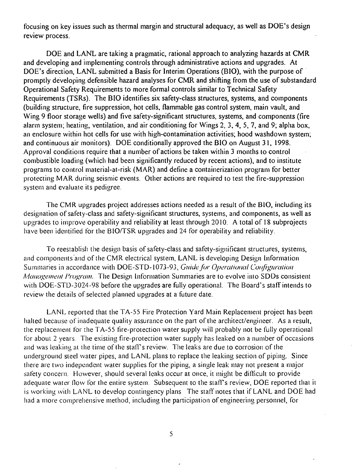focusing on key issues such as thermal margin and structural adequacy, as well as DOE's design review process.

DOE and LANL are taking a pragmatic, rational approach to analyzing hazards at CMR and developing and implementing controls through administrative actions and upgrades. At DOE's direction, LANL submitted a Basis for Interim Operations (BIO), with the purpose of promptly developing defensible hazard analyses for CMR and shifting from the use of substandard Operational Safety Requirements to more formal controls similar to Technical Safety Requirements (TSRs). The BIO identifies six safety-class structures, systems, and components (building structure, fire suppression, hot cells, flammable gas control system, main vault, and Wing 9 floor storage wells) and five safety-significant structures, systems, and components (fire alarm system; heating, ventilation, and air conditioning for Wings 2, 3, 4, 5, 7, and 9; alpha box, an enclosure within hot cells for use with high-contamination activities; hood washdown system; and continuous air monitors). DOE conditionally approved the BIO on August 31, 1998. Approval conditions require that a number of actions be taken within 3 months to control combustible loading (which had been significantly reduced by recent actions), and to institute programs to controlmaterial-at-risk (MAR) and define a containerization program for better protecting MAR during seismic events. Other actions are required to test the fire-suppression system and evaluate its pedigree,

The CMR upgrades project addresses actions needed as a result of the BIO, including its designation of safety-class and safety-significant structures, systems, and components, as well as upgrades to improve operability and reliability at least through 20 IO. A total of 18 subprojects have been identified for the BIO/TSR upgrades and 24 for operability and reliability.

To reestablish the design basis of safety-class and safety-significant structures, systems, and components'and of the CMR electrical system, LANL is developing Design Information Summaries in accordance with DOE-STD-1073-93, *Guide for Operational Configuration Management Program.* The Design Information Summaries are to evolve into SDDs consistent with DOE-STD-3024-98 before the upgrades are fully operational. The Board's staff intends to review the details of selected planned upgrades at a future date.

LANL reported that the TA-55 Fire Protection Yard Main Replacement project has been halted because of inadequate quality assurance on the part of the architect/engineer. As a result, the replacement for the TA-55 fire-protection water supply will probably not be fully operational for about 2 years, The existing fire-protection water supply has leaked on a number of occasions and was leaking at the time of the staff's review. The leaks are due to corrosion of the underground steel water pipes, and LANL plans to replace the leaking section of piping. Since there are two independent water supplies for the piping, a single leak may not present a major safety concern, However, should several leaks occur at once, it might be diflicult to provide adequate water flow for the entire system. Subsequent to the staff's review, DOE reported that it is working with LANL to develop contingency plans The staff notes that if LANL and DOE had had a more comprehensive method, including the participation of engineering personnel, for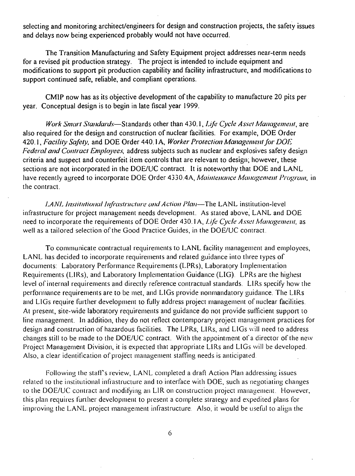selecting and monitoring architect/engineers for design and construction projects, the safety issues and delays now being experienced probably would not have occurred.

The Transition Manufacturing and Safety Equipment project addresses near-term needs for a revised pit production strategy. The project is intended to include equipment and modifications to support pit production capability and facility infrastructure, and modifications to support continued safe, reliable, and compliant operations.

CMIP now has as its objective development of the capability to manufacture 20 pits per year. Conceptual design is to begin in late fiscal year 1999.

*Work Smart Standards—Standards* other than 430.1, *Life Cycle Asset Management*, are also required for the design and construction of nuclear facilities. For example, DOE Order 420.1, *Facility Safely,* and DOE Order 440.1 A, *Worker Protection Management for DOE Federal and Contract Employees,* address subjects such as nuclear and explosives safety design criteria and suspect and counterfeit item controls that are relevant to design; however, these sections are not incorporated in the DOE/UC contract. It is noteworthy that DOE and LANL have recently agreed to incorporate DOE Order 4330.4A, *Maintenance Management Program*, in the contract.

*I.ANL Institutional Infrastructure and Action Plan—The LANL institution-level* infrastructure for project management needs development. As stated above: LANL and DOE need to incorporate the requirements of DOE Order 430.1A, Life Cycle Asset Management, as well as a tailored selection of the Good Practice Guides, in the DOE/UC contract.

To communicate contractual requirements to LANL facility management and employees, LANL has decided to incorporate requirements and related guidance into three types of documents: Laboratory Performance Requirements (LPRs), Laboratory Implementation Requirements (L1Rs), and Laboratory Implcmentation Guidance (LIG). LPRs are the highest level of internal requirements and directly reference contractual standards. LIRs specify how the performance requirements are to be met, and LIGs provide nonmandatory guidance. The LIRs and LIGs require further development to fully address project management of nuclear facilities. At present, site-wide laboratory requirements and guidance do not provide sufficient support to line management. In addition, they do not reflect contemporary project management practices for design and construction of hazardous facilities. The LPRs, LIRs, and LIGs will need to address changes still to be made to the DOE/UC contract. With the appointment of a director of the new Project Management Division, it is expected that appropriate L1Rs and LIGs will be developed. Also, a clear identification of project management staffing needs is anticipated.

Following the staff's review, LANL completed a draft Action Plan addressing issues related to the institutional infrastructurc and to interface with DOE, such as negotiating changes to the DOE/UC contract and modifying an LIR on construction project management. However, this plan requires further development to present a complete strategy and expedited plans for improving thc LANL project management infrastructure. Also, it would be useful to align the